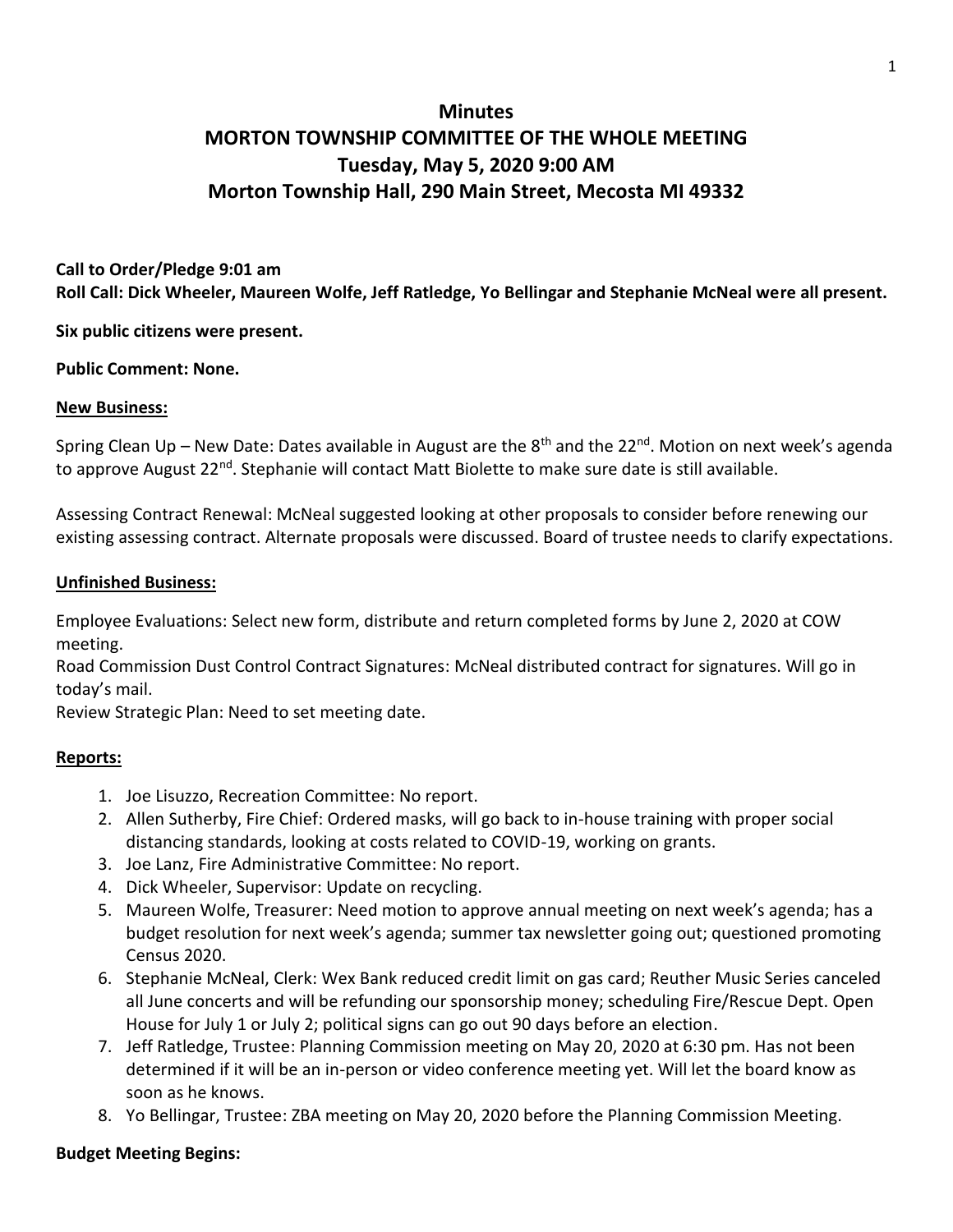# **Minutes MORTON TOWNSHIP COMMITTEE OF THE WHOLE MEETING Tuesday, May 5, 2020 9:00 AM Morton Township Hall, 290 Main Street, Mecosta MI 49332**

# **Call to Order/Pledge 9:01 am Roll Call: Dick Wheeler, Maureen Wolfe, Jeff Ratledge, Yo Bellingar and Stephanie McNeal were all present.**

**Six public citizens were present.** 

#### **Public Comment: None.**

#### **New Business:**

Spring Clean Up – New Date: Dates available in August are the 8<sup>th</sup> and the 22<sup>nd</sup>. Motion on next week's agenda to approve August 22<sup>nd</sup>. Stephanie will contact Matt Biolette to make sure date is still available.

Assessing Contract Renewal: McNeal suggested looking at other proposals to consider before renewing our existing assessing contract. Alternate proposals were discussed. Board of trustee needs to clarify expectations.

#### **Unfinished Business:**

Employee Evaluations: Select new form, distribute and return completed forms by June 2, 2020 at COW meeting.

Road Commission Dust Control Contract Signatures: McNeal distributed contract for signatures. Will go in today's mail.

Review Strategic Plan: Need to set meeting date.

# **Reports:**

- 1. Joe Lisuzzo, Recreation Committee: No report.
- 2. Allen Sutherby, Fire Chief: Ordered masks, will go back to in-house training with proper social distancing standards, looking at costs related to COVID-19, working on grants.
- 3. Joe Lanz, Fire Administrative Committee: No report.
- 4. Dick Wheeler, Supervisor: Update on recycling.
- 5. Maureen Wolfe, Treasurer: Need motion to approve annual meeting on next week's agenda; has a budget resolution for next week's agenda; summer tax newsletter going out; questioned promoting Census 2020.
- 6. Stephanie McNeal, Clerk: Wex Bank reduced credit limit on gas card; Reuther Music Series canceled all June concerts and will be refunding our sponsorship money; scheduling Fire/Rescue Dept. Open House for July 1 or July 2; political signs can go out 90 days before an election.
- 7. Jeff Ratledge, Trustee: Planning Commission meeting on May 20, 2020 at 6:30 pm. Has not been determined if it will be an in-person or video conference meeting yet. Will let the board know as soon as he knows.
- 8. Yo Bellingar, Trustee: ZBA meeting on May 20, 2020 before the Planning Commission Meeting.

# **Budget Meeting Begins:**